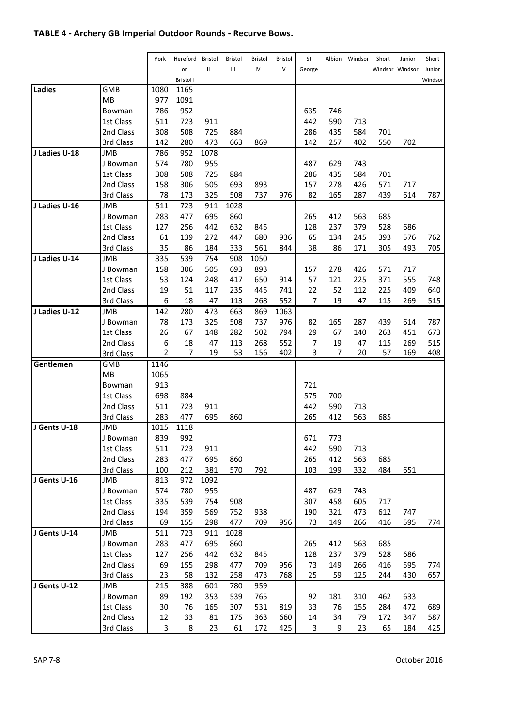## TABLE 4 - Archery GB Imperial Outdoor Rounds - Recurve Bows.

|               |            | York           | Hereford  | <b>Bristol</b> | Bristol | Bristol | Bristol | St     | Albion | Windsor | Short | Junior          | Short   |
|---------------|------------|----------------|-----------|----------------|---------|---------|---------|--------|--------|---------|-------|-----------------|---------|
|               |            |                | or        | Ш              | Ш       | IV      | $\vee$  | George |        |         |       | Windsor Windsor | Junior  |
|               |            |                | Bristol I |                |         |         |         |        |        |         |       |                 | Windsor |
| Ladies        | GMB        | 1080           | 1165      |                |         |         |         |        |        |         |       |                 |         |
|               | MB         | 977            | 1091      |                |         |         |         |        |        |         |       |                 |         |
|               | Bowman     | 786            | 952       |                |         |         |         | 635    | 746    |         |       |                 |         |
|               | 1st Class  | 511            | 723       | 911            |         |         |         | 442    | 590    | 713     |       |                 |         |
|               | 2nd Class  | 308            | 508       | 725            | 884     |         |         | 286    | 435    | 584     | 701   |                 |         |
|               | 3rd Class  | 142            | 280       | 473            | 663     | 869     |         | 142    | 257    | 402     | 550   | 702             |         |
| J Ladies U-18 | JMB        | 786            | 952       | 1078           |         |         |         |        |        |         |       |                 |         |
|               | J Bowman   | 574            | 780       | 955            |         |         |         | 487    | 629    | 743     |       |                 |         |
|               | 1st Class  | 308            | 508       | 725            | 884     |         |         | 286    | 435    | 584     | 701   |                 |         |
|               | 2nd Class  | 158            | 306       | 505            | 693     | 893     |         | 157    | 278    | 426     | 571   | 717             |         |
|               | 3rd Class  | 78             | 173       | 325            | 508     | 737     | 976     | 82     | 165    | 287     | 439   | 614             | 787     |
| J Ladies U-16 | <b>JMB</b> | 511            | 723       | 911            | 1028    |         |         |        |        |         |       |                 |         |
|               | J Bowman   | 283            | 477       | 695            | 860     |         |         | 265    | 412    | 563     | 685   |                 |         |
|               | 1st Class  | 127            | 256       | 442            | 632     | 845     |         | 128    | 237    | 379     | 528   | 686             |         |
|               | 2nd Class  | 61             | 139       | 272            | 447     | 680     | 936     | 65     | 134    | 245     | 393   | 576             | 762     |
|               | 3rd Class  | 35             | 86        | 184            | 333     | 561     | 844     | 38     | 86     | 171     | 305   | 493             | 705     |
| J Ladies U-14 | <b>JMB</b> | 335            | 539       | 754            | 908     | 1050    |         |        |        |         |       |                 |         |
|               | J Bowman   | 158            | 306       | 505            | 693     | 893     |         | 157    | 278    | 426     | 571   | 717             |         |
|               | 1st Class  | 53             | 124       | 248            | 417     | 650     | 914     | 57     | 121    | 225     | 371   | 555             | 748     |
|               | 2nd Class  | 19             | 51        | 117            | 235     | 445     | 741     | 22     | 52     | 112     | 225   | 409             | 640     |
|               | 3rd Class  | 6              | 18        | 47             | 113     | 268     | 552     | 7      | 19     | 47      | 115   | 269             | 515     |
| J Ladies U-12 | <b>JMB</b> | 142            | 280       | 473            | 663     | 869     | 1063    |        |        |         |       |                 |         |
|               | J Bowman   | 78             | 173       | 325            | 508     | 737     | 976     | 82     | 165    | 287     | 439   | 614             | 787     |
|               | 1st Class  | 26             | 67        | 148            | 282     | 502     | 794     | 29     | 67     | 140     | 263   | 451             | 673     |
|               | 2nd Class  | 6              | 18        | 47             | 113     | 268     | 552     | 7      | 19     | 47      | 115   | 269             | 515     |
|               | 3rd Class  | $\overline{2}$ | 7         | 19             | 53      | 156     | 402     | 3      | 7      | 20      | 57    | 169             | 408     |
| Gentlemen     | <b>GMB</b> | 1146           |           |                |         |         |         |        |        |         |       |                 |         |
|               | MB         | 1065           |           |                |         |         |         |        |        |         |       |                 |         |
|               | Bowman     | 913            |           |                |         |         |         | 721    |        |         |       |                 |         |
|               | 1st Class  | 698            | 884       |                |         |         |         | 575    | 700    |         |       |                 |         |
|               | 2nd Class  | 511            | 723       | 911            |         |         |         | 442    | 590    | 713     |       |                 |         |
|               | 3rd Class  | 283            | 477       | 695            | 860     |         |         | 265    | 412    | 563     | 685   |                 |         |
| J Gents U-18  | <b>JMB</b> | 1015           | 1118      |                |         |         |         |        |        |         |       |                 |         |
|               | J Bowman   | 839            | 992       |                |         |         |         | 671    | 773    |         |       |                 |         |
|               | 1st Class  | 511            | 723       | 911            |         |         |         | 442    | 590    | 713     |       |                 |         |
|               | 2nd Class  | 283            | 477       | 695            | 860     |         |         | 265    | 412    | 563     | 685   |                 |         |
|               | 3rd Class  | 100            | 212       | 381            | 570     | 792     |         | 103    | 199    | 332     | 484   | 651             |         |
| J Gents U-16  | <b>JMB</b> | 813            | 972       | 1092           |         |         |         |        |        |         |       |                 |         |
|               | J Bowman   | 574            | 780       | 955            |         |         |         | 487    | 629    | 743     |       |                 |         |
|               | 1st Class  | 335            | 539       | 754            | 908     |         |         | 307    | 458    | 605     | 717   |                 |         |
|               | 2nd Class  | 194            | 359       | 569            | 752     | 938     |         | 190    | 321    | 473     | 612   | 747             |         |
|               | 3rd Class  | 69             | 155       | 298            | 477     | 709     | 956     | 73     | 149    | 266     | 416   | 595             | 774     |
| J Gents U-14  | JMB        | 511            | 723       | 911            | 1028    |         |         |        |        |         |       |                 |         |
|               | J Bowman   | 283            | 477       | 695            | 860     |         |         | 265    | 412    | 563     | 685   |                 |         |
|               | 1st Class  | 127            | 256       | 442            | 632     | 845     |         | 128    | 237    | 379     | 528   | 686             |         |
|               | 2nd Class  | 69             | 155       | 298            | 477     | 709     | 956     | 73     | 149    | 266     | 416   | 595             | 774     |
|               | 3rd Class  | 23             | 58        | 132            | 258     | 473     | 768     | 25     | 59     | 125     | 244   | 430             | 657     |
| J Gents U-12  | <b>JMB</b> | 215            | 388       | 601            | 780     | 959     |         |        |        |         |       |                 |         |
|               | J Bowman   | 89             | 192       | 353            | 539     | 765     |         | 92     | 181    | 310     | 462   | 633             |         |
|               | 1st Class  | 30             | 76        | 165            | 307     | 531     | 819     | 33     | 76     | 155     | 284   | 472             | 689     |
|               | 2nd Class  | 12             | 33        | 81             | 175     | 363     | 660     | 14     | 34     | 79      | 172   | 347             | 587     |
|               | 3rd Class  | 3              | 8         | 23             | 61      | 172     | 425     | 3      | 9      | 23      | 65    | 184             | 425     |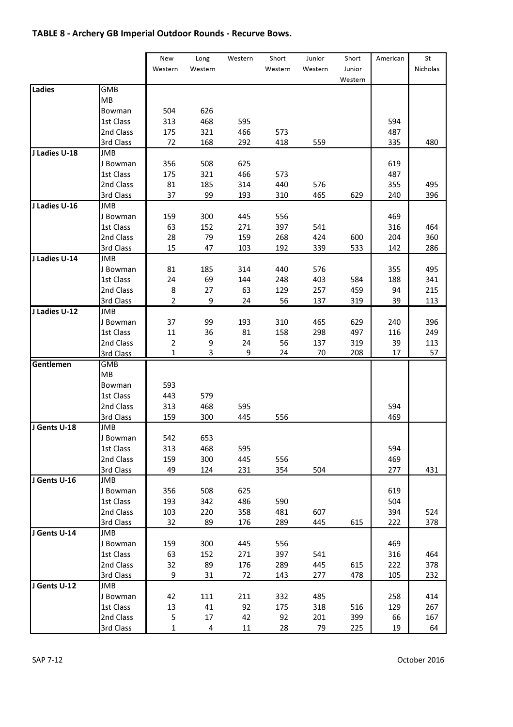# TABLE 8 - Archery GB Imperial Outdoor Rounds - Recurve Bows.

|               |                 | New          | Long           | Western | Short   | Junior  | Short   | American | St       |
|---------------|-----------------|--------------|----------------|---------|---------|---------|---------|----------|----------|
|               |                 | Western      | Western        |         | Western | Western | Junior  |          | Nicholas |
|               |                 |              |                |         |         |         | Western |          |          |
| Ladies        | GMB             |              |                |         |         |         |         |          |          |
|               | MB              |              |                |         |         |         |         |          |          |
|               | Bowman          | 504          | 626            |         |         |         |         |          |          |
|               | 1st Class       | 313          | 468            | 595     |         |         |         | 594      |          |
|               | 2nd Class       | 175          | 321            | 466     | 573     |         |         | 487      |          |
|               | 3rd Class       | 72           | 168            | 292     | 418     | 559     |         | 335      | 480      |
| J Ladies U-18 | JMB             |              |                |         |         |         |         |          |          |
|               | J Bowman        | 356          | 508            | 625     |         |         |         | 619      |          |
|               | 1st Class       | 175          | 321            | 466     | 573     |         |         | 487      |          |
|               | 2nd Class       | 81           | 185            | 314     | 440     | 576     |         | 355      | 495      |
|               | 3rd Class       | 37           | 99             | 193     | 310     | 465     | 629     | 240      | 396      |
| J Ladies U-16 | JMB             |              |                |         |         |         |         |          |          |
|               | J Bowman        | 159          | 300            | 445     | 556     |         |         | 469      |          |
|               | 1st Class       | 63           | 152            | 271     | 397     | 541     |         | 316      | 464      |
|               | 2nd Class       | 28           | 79             | 159     | 268     | 424     | 600     | 204      | 360      |
|               | 3rd Class       | 15           | 47             | 103     | 192     | 339     | 533     | 142      | 286      |
|               |                 |              |                |         |         |         |         |          |          |
| J Ladies U-14 | JMB<br>J Bowman | 81           | 185            | 314     | 440     | 576     |         | 355      | 495      |
|               | 1st Class       | 24           | 69             | 144     | 248     | 403     | 584     | 188      | 341      |
|               |                 |              |                |         |         |         |         |          |          |
|               | 2nd Class       | 8            | 27             | 63      | 129     | 257     | 459     | 94       | 215      |
|               | 3rd Class       | 2            | 9              | 24      | 56      | 137     | 319     | 39       | 113      |
| J Ladies U-12 | <b>JMB</b>      |              | 99             |         |         |         |         |          |          |
|               | J Bowman        | 37           |                | 193     | 310     | 465     | 629     | 240      | 396      |
|               | 1st Class       | 11           | 36             | 81      | 158     | 298     | 497     | 116      | 249      |
|               | 2nd Class       | 2            | 9              | 24<br>9 | 56      | 137     | 319     | 39       | 113      |
|               | 3rd Class       | $\mathbf{1}$ | 3              |         | 24      | 70      | 208     | 17       | 57       |
| Gentlemen     | <b>GMB</b>      |              |                |         |         |         |         |          |          |
|               | MB              |              |                |         |         |         |         |          |          |
|               | Bowman          | 593          |                |         |         |         |         |          |          |
|               | 1st Class       | 443          | 579            |         |         |         |         |          |          |
|               | 2nd Class       | 313          | 468            | 595     |         |         |         | 594      |          |
|               | 3rd Class       | 159          | 300            | 445     | 556     |         |         | 469      |          |
| J Gents U-18  | <b>JMB</b>      |              |                |         |         |         |         |          |          |
|               | J Bowman        | 542          | 653            |         |         |         |         |          |          |
|               | 1st Class       | 313          | 468            | 595     |         |         |         | 594      |          |
|               | 2nd Class       | 159          | 300            | 445     | 556     |         |         | 469      |          |
|               | 3rd Class       | 49           | 124            | 231     | 354     | 504     |         | 277      | 431      |
| J Gents U-16  | JMB             |              |                |         |         |         |         |          |          |
|               | J Bowman        | 356          | 508            | 625     |         |         |         | 619      |          |
|               | 1st Class       | 193          | 342            | 486     | 590     |         |         | 504      |          |
|               | 2nd Class       | 103          | 220            | 358     | 481     | 607     |         | 394      | 524      |
|               | 3rd Class       | 32           | 89             | 176     | 289     | 445     | 615     | 222      | 378      |
| J Gents U-14  | <b>JMB</b>      |              |                |         |         |         |         |          |          |
|               | J Bowman        | 159          | 300            | 445     | 556     |         |         | 469      |          |
|               | 1st Class       | 63           | 152            | 271     | 397     | 541     |         | 316      | 464      |
|               | 2nd Class       | 32           | 89             | 176     | 289     | 445     | 615     | 222      | 378      |
|               | 3rd Class       | 9            | 31             | 72      | 143     | 277     | 478     | 105      | 232      |
| J Gents U-12  | JMB             |              |                |         |         |         |         |          |          |
|               | J Bowman        | 42           | 111            | 211     | 332     | 485     |         | 258      | 414      |
|               | 1st Class       | 13           | 41             | 92      | 175     | 318     | 516     | 129      | 267      |
|               | 2nd Class       | 5            | 17             | 42      | 92      | 201     | 399     | 66       | 167      |
|               | 3rd Class       | $\mathbf{1}$ | $\overline{4}$ | 11      | 28      | 79      | 225     | 19       | 64       |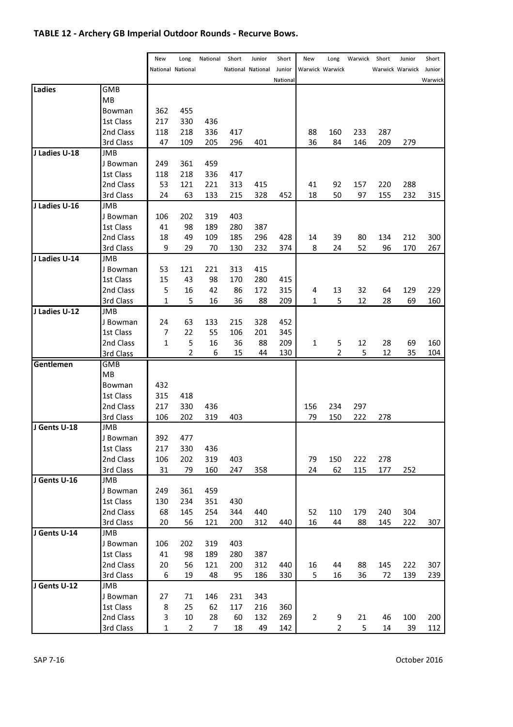## TABLE 12 - Archery GB Imperial Outdoor Rounds - Recurve Bows.

|               |            | New            | Long                     | National | Short | Junior            | Short    | New            | Long            | Warwick | Short | Junior          | Short   |
|---------------|------------|----------------|--------------------------|----------|-------|-------------------|----------|----------------|-----------------|---------|-------|-----------------|---------|
|               |            |                | <b>National National</b> |          |       | National National | Junior   |                | Warwick Warwick |         |       | Warwick Warwick | Junior  |
|               |            |                |                          |          |       |                   | National |                |                 |         |       |                 | Warwick |
| Ladies        | GMB        |                |                          |          |       |                   |          |                |                 |         |       |                 |         |
|               | MВ         |                |                          |          |       |                   |          |                |                 |         |       |                 |         |
|               | Bowman     | 362            | 455                      |          |       |                   |          |                |                 |         |       |                 |         |
|               | 1st Class  | 217            | 330                      | 436      |       |                   |          |                |                 |         |       |                 |         |
|               | 2nd Class  | 118            | 218                      | 336      | 417   |                   |          | 88             | 160             | 233     | 287   |                 |         |
|               | 3rd Class  | 47             | 109                      | 205      | 296   | 401               |          | 36             | 84              | 146     | 209   | 279             |         |
| J Ladies U-18 | JMB        |                |                          |          |       |                   |          |                |                 |         |       |                 |         |
|               | J Bowman   | 249            | 361                      | 459      |       |                   |          |                |                 |         |       |                 |         |
|               | 1st Class  | 118            | 218                      | 336      | 417   |                   |          |                |                 |         |       |                 |         |
|               | 2nd Class  | 53             | 121                      | 221      | 313   | 415               |          | 41             | 92              | 157     | 220   | 288             |         |
|               | 3rd Class  | 24             | 63                       | 133      | 215   | 328               | 452      | 18             | 50              | 97      | 155   | 232             | 315     |
| J Ladies U-16 | <b>JMB</b> |                |                          |          |       |                   |          |                |                 |         |       |                 |         |
|               | J Bowman   | 106            | 202                      | 319      | 403   |                   |          |                |                 |         |       |                 |         |
|               | 1st Class  | 41             | 98                       | 189      | 280   | 387               |          |                |                 |         |       |                 |         |
|               | 2nd Class  | 18             | 49                       | 109      | 185   | 296               | 428      | 14             | 39              | 80      | 134   | 212             | 300     |
|               | 3rd Class  | 9              | 29                       | 70       | 130   | 232               | 374      | 8              | 24              | 52      | 96    | 170             | 267     |
| J Ladies U-14 | JMB        |                |                          |          |       |                   |          |                |                 |         |       |                 |         |
|               | J Bowman   | 53             | 121                      | 221      | 313   | 415               |          |                |                 |         |       |                 |         |
|               | 1st Class  | 15             | 43                       | 98       | 170   | 280               | 415      |                |                 |         |       |                 |         |
|               | 2nd Class  | 5              | 16                       | 42       | 86    | 172               | 315      | 4              | 13              | 32      | 64    | 129             | 229     |
|               | 3rd Class  | $\mathbf{1}$   | 5                        | 16       | 36    | 88                | 209      | 1              | 5               | 12      | 28    | 69              | 160     |
| J Ladies U-12 | JMB        |                |                          |          |       |                   |          |                |                 |         |       |                 |         |
|               | J Bowman   | 24             | 63                       | 133      | 215   | 328               | 452      |                |                 |         |       |                 |         |
|               | 1st Class  | 7              | 22                       | 55       | 106   | 201               | 345      |                |                 |         |       |                 |         |
|               | 2nd Class  | $\mathbf{1}$   | 5                        | 16       | 36    | 88                | 209      | 1              | 5               | 12      | 28    | 69              | 160     |
|               | 3rd Class  |                | $\overline{2}$           | 6        | 15    | 44                | 130      |                | 2               | 5       | 12    | 35              | 104     |
| Gentlemen     | GMB        |                |                          |          |       |                   |          |                |                 |         |       |                 |         |
|               | MB         |                |                          |          |       |                   |          |                |                 |         |       |                 |         |
|               | Bowman     | 432            |                          |          |       |                   |          |                |                 |         |       |                 |         |
|               | 1st Class  | 315            | 418                      |          |       |                   |          |                |                 |         |       |                 |         |
|               | 2nd Class  | 217            | 330                      | 436      |       |                   |          | 156            | 234             | 297     |       |                 |         |
|               | 3rd Class  | 106            | 202                      | 319      | 403   |                   |          | 79             | 150             | 222     | 278   |                 |         |
| J Gents U-18  | <b>JMB</b> |                |                          |          |       |                   |          |                |                 |         |       |                 |         |
|               | J Bowman   | 392            | 477                      |          |       |                   |          |                |                 |         |       |                 |         |
|               | 1st Class  | 217            | 330                      | 436      |       |                   |          |                |                 |         |       |                 |         |
|               | 2nd Class  | 106            | 202                      | 319      | 403   |                   |          | 79             | 150             | 222     | 278   |                 |         |
|               | 3rd Class  | 31             | 79                       | 160      | 247   | 358               |          | 24             | 62              | 115     | 177   | 252             |         |
| J Gents U-16  | JMB        |                |                          |          |       |                   |          |                |                 |         |       |                 |         |
|               | J Bowman   | 249            | 361                      | 459      |       |                   |          |                |                 |         |       |                 |         |
|               | 1st Class  | 130            | 234                      | 351      | 430   |                   |          |                |                 |         |       |                 |         |
|               | 2nd Class  | 68             | 145                      | 254      | 344   | 440               |          | 52             | 110             | 179     | 240   | 304             |         |
|               | 3rd Class  | 20             | 56                       | 121      | 200   | 312               | 440      | 16             | 44              | 88      | 145   | 222             | 307     |
| J Gents U-14  | <b>JMB</b> |                |                          |          |       |                   |          |                |                 |         |       |                 |         |
|               | J Bowman   | 106            | 202                      | 319      | 403   |                   |          |                |                 |         |       |                 |         |
|               | 1st Class  | 41             | 98                       | 189      | 280   | 387               |          |                |                 |         |       |                 |         |
|               | 2nd Class  | 20             | 56                       | 121      | 200   | 312               | 440      | 16             | 44              | 88      | 145   | 222             | 307     |
|               | 3rd Class  | 6              | 19                       | 48       | 95    | 186               | 330      | 5              | 16              | 36      | 72    | 139             | 239     |
| J Gents U-12  | JMB        |                |                          |          |       |                   |          |                |                 |         |       |                 |         |
|               | J Bowman   | 27             | 71                       | 146      | 231   | 343               |          |                |                 |         |       |                 |         |
|               | 1st Class  | 8              | 25                       | 62       | 117   | 216               | 360      |                |                 |         |       |                 |         |
|               | 2nd Class  | 3              | 10                       | 28       | 60    | 132               | 269      | $\overline{2}$ | 9               | 21      | 46    | 100             | 200     |
|               | 3rd Class  | $\overline{1}$ | $\overline{2}$           | 7        | 18    | 49                | 142      |                | 2               | 5       | 14    | 39              | 112     |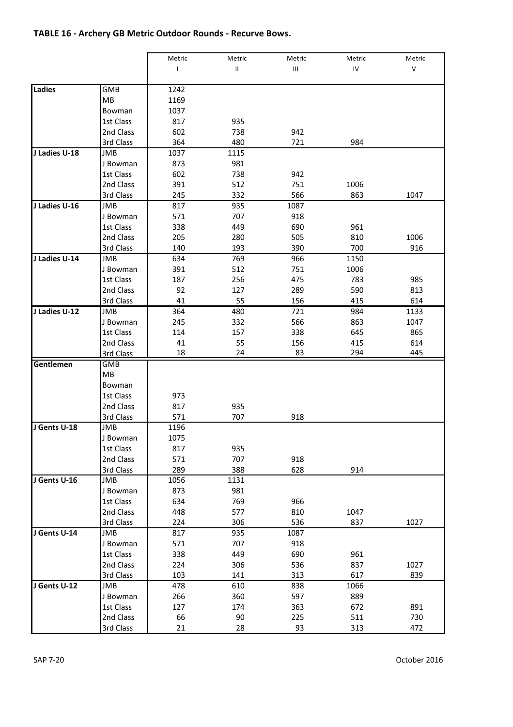#### TABLE 16 - Archery GB Metric Outdoor Rounds - Recurve Bows.

|               |            | Metric | Metric   | Metric | Metric | Metric |
|---------------|------------|--------|----------|--------|--------|--------|
|               |            | L      | $\sf II$ | Ш      | IV     | V      |
|               |            |        |          |        |        |        |
| Ladies        | GMB        | 1242   |          |        |        |        |
|               | MB         | 1169   |          |        |        |        |
|               | Bowman     | 1037   |          |        |        |        |
|               | 1st Class  | 817    | 935      |        |        |        |
|               | 2nd Class  | 602    | 738      | 942    |        |        |
|               | 3rd Class  | 364    | 480      | 721    | 984    |        |
| J Ladies U-18 | JMB        | 1037   | 1115     |        |        |        |
|               | J Bowman   | 873    | 981      |        |        |        |
|               | 1st Class  | 602    | 738      | 942    |        |        |
|               | 2nd Class  | 391    | 512      | 751    | 1006   |        |
|               | 3rd Class  | 245    | 332      | 566    | 863    | 1047   |
| J Ladies U-16 | JMB        | 817    | 935      | 1087   |        |        |
|               | J Bowman   | 571    | 707      | 918    |        |        |
|               | 1st Class  | 338    | 449      | 690    | 961    |        |
|               | 2nd Class  | 205    | 280      | 505    | 810    | 1006   |
|               | 3rd Class  | 140    | 193      | 390    | 700    | 916    |
| J Ladies U-14 | JMB        | 634    | 769      | 966    | 1150   |        |
|               | J Bowman   | 391    | 512      | 751    | 1006   |        |
|               | 1st Class  | 187    | 256      | 475    | 783    | 985    |
|               | 2nd Class  | 92     | 127      | 289    | 590    | 813    |
|               | 3rd Class  | 41     | 55       | 156    | 415    | 614    |
| J Ladies U-12 | JMB        | 364    | 480      | 721    | 984    | 1133   |
|               | J Bowman   | 245    | 332      | 566    | 863    | 1047   |
|               | 1st Class  | 114    | 157      | 338    | 645    | 865    |
|               | 2nd Class  | 41     | 55       | 156    | 415    | 614    |
|               | 3rd Class  | 18     | 24       | 83     | 294    | 445    |
| Gentlemen     | <b>GMB</b> |        |          |        |        |        |
|               | MВ         |        |          |        |        |        |
|               | Bowman     |        |          |        |        |        |
|               | 1st Class  | 973    |          |        |        |        |
|               | 2nd Class  | 817    | 935      |        |        |        |
|               | 3rd Class  | 571    | 707      | 918    |        |        |
| J Gents U-18  | JMB        | 1196   |          |        |        |        |
|               | J Bowman   | 1075   |          |        |        |        |
|               | 1st Class  | 817    | 935      |        |        |        |
|               | 2nd Class  | 571    | 707      | 918    |        |        |
|               | 3rd Class  | 289    | 388      | 628    | 914    |        |
| J Gents U-16  | JMB        | 1056   | 1131     |        |        |        |
|               | J Bowman   | 873    | 981      |        |        |        |
|               | 1st Class  | 634    | 769      | 966    |        |        |
|               | 2nd Class  | 448    | 577      | 810    | 1047   |        |
|               | 3rd Class  | 224    | 306      | 536    | 837    | 1027   |
| J Gents U-14  | JMB        | 817    | 935      | 1087   |        |        |
|               | J Bowman   | 571    | 707      | 918    |        |        |
|               | 1st Class  | 338    | 449      | 690    | 961    |        |
|               | 2nd Class  | 224    | 306      | 536    | 837    | 1027   |
|               | 3rd Class  | 103    | 141      | 313    | 617    | 839    |
| J Gents U-12  | JMB        | 478    | 610      | 838    | 1066   |        |
|               | J Bowman   | 266    | 360      | 597    | 889    |        |
|               | 1st Class  | 127    | 174      | 363    | 672    | 891    |
|               | 2nd Class  | 66     | 90       | 225    | 511    | 730    |
|               | 3rd Class  | 21     | 28       | 93     | 313    | 472    |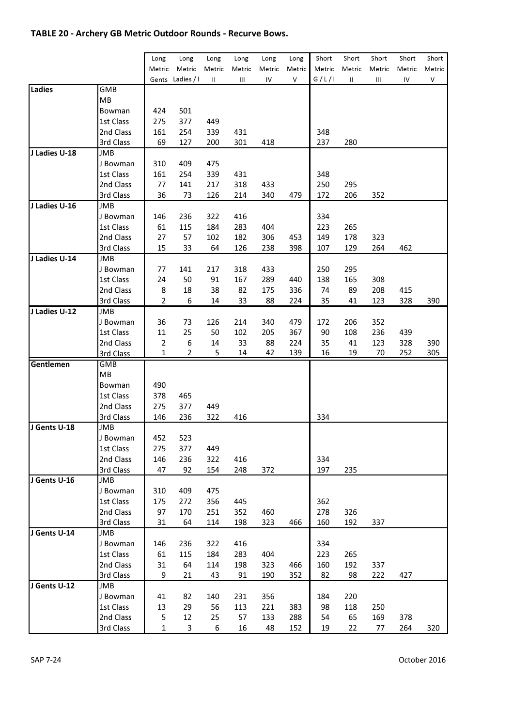#### TABLE 20 - Archery GB Metric Outdoor Rounds - Recurve Bows.

| Short<br>Short<br>Short<br>Short<br>Long<br>Long<br>Long<br>Long<br>Long<br>Long<br>Metric<br>Metric<br>Metric<br>Metric<br>Metric<br>Metric<br>Metric<br>Metric<br>Metric<br>Metric<br>Metric<br>G/L/I<br>Ladies / I<br>Λ<br>Gents<br>Ш<br>Ш<br>IV<br>Ш<br>Ш<br>IV<br>Ladies<br>GMB<br>MВ<br>424<br>501<br>Bowman<br>1st Class<br>275<br>377<br>449<br>254<br>431<br>348<br>2nd Class<br>161<br>339<br>237<br>3rd Class<br>69<br>127<br>200<br>301<br>418<br>280<br>J Ladies U-18<br>JMB<br>409<br>475<br>310<br>J Bowman<br>1st Class<br>161<br>254<br>339<br>431<br>348<br>77<br>2nd Class<br>141<br>217<br>318<br>433<br>250<br>295<br>3rd Class<br>36<br>73<br>126<br>214<br>340<br>479<br>172<br>206<br>352 |
|-------------------------------------------------------------------------------------------------------------------------------------------------------------------------------------------------------------------------------------------------------------------------------------------------------------------------------------------------------------------------------------------------------------------------------------------------------------------------------------------------------------------------------------------------------------------------------------------------------------------------------------------------------------------------------------------------------------------|
|                                                                                                                                                                                                                                                                                                                                                                                                                                                                                                                                                                                                                                                                                                                   |
|                                                                                                                                                                                                                                                                                                                                                                                                                                                                                                                                                                                                                                                                                                                   |
|                                                                                                                                                                                                                                                                                                                                                                                                                                                                                                                                                                                                                                                                                                                   |
|                                                                                                                                                                                                                                                                                                                                                                                                                                                                                                                                                                                                                                                                                                                   |
|                                                                                                                                                                                                                                                                                                                                                                                                                                                                                                                                                                                                                                                                                                                   |
|                                                                                                                                                                                                                                                                                                                                                                                                                                                                                                                                                                                                                                                                                                                   |
|                                                                                                                                                                                                                                                                                                                                                                                                                                                                                                                                                                                                                                                                                                                   |
|                                                                                                                                                                                                                                                                                                                                                                                                                                                                                                                                                                                                                                                                                                                   |
|                                                                                                                                                                                                                                                                                                                                                                                                                                                                                                                                                                                                                                                                                                                   |
|                                                                                                                                                                                                                                                                                                                                                                                                                                                                                                                                                                                                                                                                                                                   |
|                                                                                                                                                                                                                                                                                                                                                                                                                                                                                                                                                                                                                                                                                                                   |
|                                                                                                                                                                                                                                                                                                                                                                                                                                                                                                                                                                                                                                                                                                                   |
|                                                                                                                                                                                                                                                                                                                                                                                                                                                                                                                                                                                                                                                                                                                   |
|                                                                                                                                                                                                                                                                                                                                                                                                                                                                                                                                                                                                                                                                                                                   |
| J Ladies U-16<br>JMB                                                                                                                                                                                                                                                                                                                                                                                                                                                                                                                                                                                                                                                                                              |
| 146<br>236<br>322<br>416<br>334<br>J Bowman                                                                                                                                                                                                                                                                                                                                                                                                                                                                                                                                                                                                                                                                       |
| 115<br>283<br>404<br>223<br>265<br>1st Class<br>61<br>184                                                                                                                                                                                                                                                                                                                                                                                                                                                                                                                                                                                                                                                         |
| 57<br>27<br>102<br>306<br>453<br>178<br>2nd Class<br>182<br>149<br>323                                                                                                                                                                                                                                                                                                                                                                                                                                                                                                                                                                                                                                            |
| 15<br>64<br>398<br>129<br>3rd Class<br>33<br>126<br>238<br>107<br>264<br>462                                                                                                                                                                                                                                                                                                                                                                                                                                                                                                                                                                                                                                      |
| J Ladies U-14<br>JMB                                                                                                                                                                                                                                                                                                                                                                                                                                                                                                                                                                                                                                                                                              |
| J Bowman<br>77<br>141<br>217<br>318<br>433<br>250<br>295                                                                                                                                                                                                                                                                                                                                                                                                                                                                                                                                                                                                                                                          |
| 24<br>50<br>91<br>289<br>440<br>138<br>165<br>308<br>1st Class<br>167                                                                                                                                                                                                                                                                                                                                                                                                                                                                                                                                                                                                                                             |
| 8<br>18<br>38<br>82<br>336<br>74<br>89<br>208<br>2nd Class<br>175<br>415                                                                                                                                                                                                                                                                                                                                                                                                                                                                                                                                                                                                                                          |
| 3rd Class<br>2<br>6<br>14<br>33<br>88<br>224<br>35<br>41<br>123<br>328                                                                                                                                                                                                                                                                                                                                                                                                                                                                                                                                                                                                                                            |
| J Ladies U-12<br>JMB                                                                                                                                                                                                                                                                                                                                                                                                                                                                                                                                                                                                                                                                                              |
| J Bowman<br>36<br>73<br>126<br>214<br>340<br>479<br>172<br>206<br>352                                                                                                                                                                                                                                                                                                                                                                                                                                                                                                                                                                                                                                             |
| 25<br>90<br>108<br>236<br>439<br>1st Class<br>11<br>50<br>102<br>205<br>367                                                                                                                                                                                                                                                                                                                                                                                                                                                                                                                                                                                                                                       |
| 6<br>14<br>33<br>224<br>35<br>123<br>328<br>2nd Class<br>2<br>88<br>41                                                                                                                                                                                                                                                                                                                                                                                                                                                                                                                                                                                                                                            |
| 2<br>5<br>14<br>42<br>139<br>16<br>19<br>252<br>3rd Class<br>1<br>70                                                                                                                                                                                                                                                                                                                                                                                                                                                                                                                                                                                                                                              |
| <b>GMB</b><br>Gentlemen                                                                                                                                                                                                                                                                                                                                                                                                                                                                                                                                                                                                                                                                                           |
| ΜВ                                                                                                                                                                                                                                                                                                                                                                                                                                                                                                                                                                                                                                                                                                                |
| 490<br>Bowman                                                                                                                                                                                                                                                                                                                                                                                                                                                                                                                                                                                                                                                                                                     |
| 378<br>465<br>1st Class                                                                                                                                                                                                                                                                                                                                                                                                                                                                                                                                                                                                                                                                                           |
| 377<br>2nd Class<br>275<br>449                                                                                                                                                                                                                                                                                                                                                                                                                                                                                                                                                                                                                                                                                    |
| 334<br>3rd Class<br>146<br>236<br>322<br>416                                                                                                                                                                                                                                                                                                                                                                                                                                                                                                                                                                                                                                                                      |
| J Gents U-18<br>JMB                                                                                                                                                                                                                                                                                                                                                                                                                                                                                                                                                                                                                                                                                               |
| J Bowman<br>452<br>523                                                                                                                                                                                                                                                                                                                                                                                                                                                                                                                                                                                                                                                                                            |
| 377<br>1st Class<br>275<br>449                                                                                                                                                                                                                                                                                                                                                                                                                                                                                                                                                                                                                                                                                    |
| 146<br>236<br>416<br>334<br>2nd Class<br>322                                                                                                                                                                                                                                                                                                                                                                                                                                                                                                                                                                                                                                                                      |
| 197<br>3rd Class<br>47<br>92<br>154<br>248<br>372<br>235                                                                                                                                                                                                                                                                                                                                                                                                                                                                                                                                                                                                                                                          |
| J Gents U-16<br>JMB                                                                                                                                                                                                                                                                                                                                                                                                                                                                                                                                                                                                                                                                                               |
| 409<br>475<br>310<br>J Bowman                                                                                                                                                                                                                                                                                                                                                                                                                                                                                                                                                                                                                                                                                     |
| 1st Class<br>175<br>272<br>356<br>445<br>362                                                                                                                                                                                                                                                                                                                                                                                                                                                                                                                                                                                                                                                                      |
| 97<br>2nd Class<br>170<br>251<br>352<br>460<br>278<br>326                                                                                                                                                                                                                                                                                                                                                                                                                                                                                                                                                                                                                                                         |
| 3rd Class<br>31<br>64<br>114<br>198<br>323<br>466<br>160<br>192<br>337                                                                                                                                                                                                                                                                                                                                                                                                                                                                                                                                                                                                                                            |
| J Gents U-14<br>JMB                                                                                                                                                                                                                                                                                                                                                                                                                                                                                                                                                                                                                                                                                               |
| 146<br>236<br>322<br>416<br>334<br>J Bowman                                                                                                                                                                                                                                                                                                                                                                                                                                                                                                                                                                                                                                                                       |
|                                                                                                                                                                                                                                                                                                                                                                                                                                                                                                                                                                                                                                                                                                                   |
|                                                                                                                                                                                                                                                                                                                                                                                                                                                                                                                                                                                                                                                                                                                   |
| 115<br>184<br>404<br>223<br>265<br>1st Class<br>61<br>283                                                                                                                                                                                                                                                                                                                                                                                                                                                                                                                                                                                                                                                         |
| 192<br>31<br>64<br>114<br>198<br>323<br>466<br>160<br>337<br>2nd Class                                                                                                                                                                                                                                                                                                                                                                                                                                                                                                                                                                                                                                            |
| 427<br>3rd Class<br>9<br>21<br>43<br>91<br>190<br>352<br>82<br>98<br>222                                                                                                                                                                                                                                                                                                                                                                                                                                                                                                                                                                                                                                          |
| J Gents U-12<br>JMB                                                                                                                                                                                                                                                                                                                                                                                                                                                                                                                                                                                                                                                                                               |
| 41<br>82<br>140<br>356<br>184<br>220<br>J Bowman<br>231                                                                                                                                                                                                                                                                                                                                                                                                                                                                                                                                                                                                                                                           |
| 29<br>56<br>383<br>98<br>118<br>250<br>1st Class<br>13<br>113<br>221<br>5<br>12<br>25<br>288<br>2nd Class<br>57<br>133<br>54<br>65<br>169<br>378                                                                                                                                                                                                                                                                                                                                                                                                                                                                                                                                                                  |